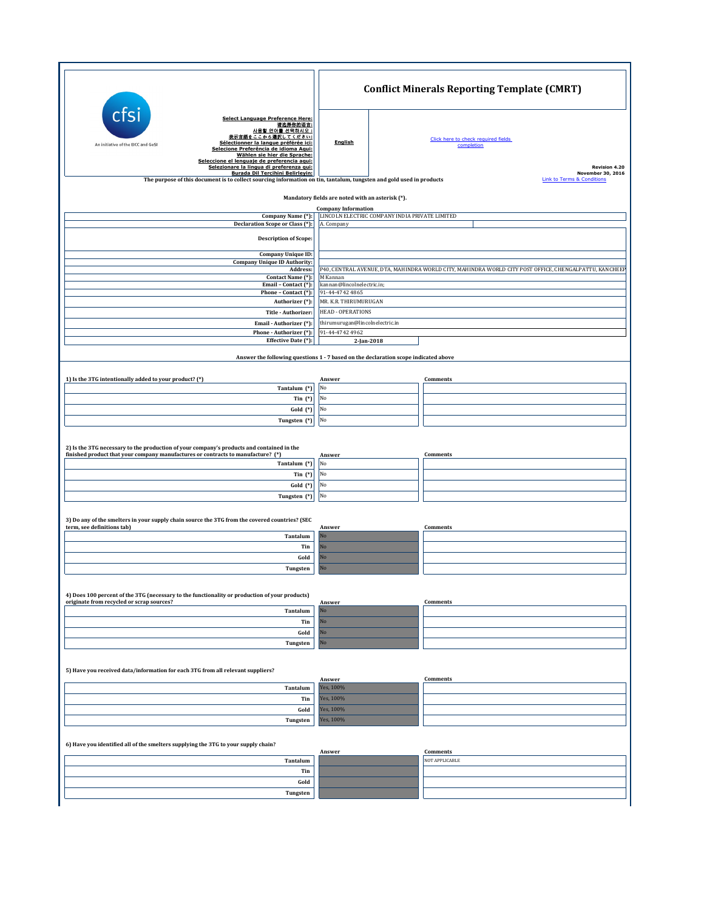|                                                                                                                                                                                                                                                                                                                                                                             |                            | <b>Conflict Minerals Reporting Template (CMRT)</b>                                                     |  |  |
|-----------------------------------------------------------------------------------------------------------------------------------------------------------------------------------------------------------------------------------------------------------------------------------------------------------------------------------------------------------------------------|----------------------------|--------------------------------------------------------------------------------------------------------|--|--|
| Select Language Preference Here:<br>请选择你的语言:<br>사용할 언어를 선택하시오 :<br>表示言語をここから選択してください:<br>Sélectionner la langue préférée ici:<br>An initiative of the EICC and GeSI<br>Selecione Preferência de idioma Aqui:<br>Wählen sie hier die Sprache:<br>Seleccione el lenguaie de preferencia agui:<br>Selezionare la lingua di preferenza qui:<br>Burada Dil Tercihini Belirleyin: | <b>English</b>             | Click here to check required fields<br>completion<br>Revision 4.20<br>November 30, 2016                |  |  |
| The purpose of this document is to collect sourcing information on tin, tantalum, tungsten and gold used in products                                                                                                                                                                                                                                                        |                            | <b>Link to Terms &amp; Conditions</b>                                                                  |  |  |
| Mandatory fields are noted with an asterisk (*).                                                                                                                                                                                                                                                                                                                            |                            |                                                                                                        |  |  |
| Company Name (*):                                                                                                                                                                                                                                                                                                                                                           | <b>Company Information</b> | LINCOLN ELECTRIC COMPANY INDIA PRIVATE LIMITED                                                         |  |  |
| Declaration Scope or Class (*):<br><b>Description of Scope:</b>                                                                                                                                                                                                                                                                                                             | A. Company                 |                                                                                                        |  |  |
| Company Unique ID:                                                                                                                                                                                                                                                                                                                                                          |                            |                                                                                                        |  |  |
| <b>Company Unique ID Authority:</b><br>Address:                                                                                                                                                                                                                                                                                                                             |                            | P40, CENTRAL AVENUE, DTA, MAHINDRA WORLD CITY, MAHINDRA WORLD CITY POST OFFICE, CHENGALPATTU, KANCHEEF |  |  |
| Contact Name (*):<br>Email - Contact (*):                                                                                                                                                                                                                                                                                                                                   |                            | M Kannan<br>kannan@lincolnelectric.in;                                                                 |  |  |
| Phone - Contact (*):<br>Authorizer (*):                                                                                                                                                                                                                                                                                                                                     | 91-44-4742 4865            | MR. K.R. THIRUMURUGAN                                                                                  |  |  |
| Title - Authorizer:                                                                                                                                                                                                                                                                                                                                                         |                            | <b>HEAD - OPERATIONS</b>                                                                               |  |  |
| Email - Authorizer (*):                                                                                                                                                                                                                                                                                                                                                     |                            | thirumurugan@lincolnelectric.in                                                                        |  |  |
| Phone - Authorizer (*):<br>Effective Date (*):                                                                                                                                                                                                                                                                                                                              | 91-44-4742 4962            | 2-Jan-2018                                                                                             |  |  |
|                                                                                                                                                                                                                                                                                                                                                                             |                            | Answer the following questions 1 - 7 based on the declaration scope indicated above                    |  |  |
| 1) Is the 3TG intentionally added to your product? (*)                                                                                                                                                                                                                                                                                                                      | Answer                     | Comments                                                                                               |  |  |
| Tantalum (*)                                                                                                                                                                                                                                                                                                                                                                | No                         |                                                                                                        |  |  |
| Tin $(*)$                                                                                                                                                                                                                                                                                                                                                                   | No                         |                                                                                                        |  |  |
| Gold (*)<br>Tungsten (*)                                                                                                                                                                                                                                                                                                                                                    | No<br>No                   |                                                                                                        |  |  |
| 2) Is the 3TG necessary to the production of your company's products and contained in the<br>finished product that your company manufactures or contracts to manufacture? (*)<br>Tantalum (*)<br>Tin $(*)$<br>Gold (*)                                                                                                                                                      | Answer<br>No<br>No<br>No   | Comments                                                                                               |  |  |
| Tungsten (*)                                                                                                                                                                                                                                                                                                                                                                | No                         |                                                                                                        |  |  |
| 3) Do any of the smelters in your supply chain source the 3TG from the covered countries? (SEC<br>term, see definitions tab)<br>Tantalum                                                                                                                                                                                                                                    | Answer<br>No               | Comments                                                                                               |  |  |
| Tin                                                                                                                                                                                                                                                                                                                                                                         | No                         |                                                                                                        |  |  |
| Gold                                                                                                                                                                                                                                                                                                                                                                        | $\rm No$<br>No             |                                                                                                        |  |  |
| Tungsten                                                                                                                                                                                                                                                                                                                                                                    |                            |                                                                                                        |  |  |
| 4) Does 100 percent of the 3TG (necessary to the functionality or production of your products)<br>originate from recycled or scrap sources?                                                                                                                                                                                                                                 |                            |                                                                                                        |  |  |
| Tantalum                                                                                                                                                                                                                                                                                                                                                                    | Answer<br>N <sub>o</sub>   | Comments                                                                                               |  |  |
| Tin                                                                                                                                                                                                                                                                                                                                                                         | No                         |                                                                                                        |  |  |
| Gold                                                                                                                                                                                                                                                                                                                                                                        | No<br>No                   |                                                                                                        |  |  |
| Tungsten                                                                                                                                                                                                                                                                                                                                                                    |                            |                                                                                                        |  |  |
| 5) Have you received data/information for each 3TG from all relevant suppliers?                                                                                                                                                                                                                                                                                             | Answer                     | Comments                                                                                               |  |  |
| Tantalum                                                                                                                                                                                                                                                                                                                                                                    | Yes, 100%                  |                                                                                                        |  |  |
| Tin                                                                                                                                                                                                                                                                                                                                                                         | Yes, 100%                  |                                                                                                        |  |  |
| Gold<br>Tungsten                                                                                                                                                                                                                                                                                                                                                            | Yes, 100%<br>Yes, 100%     |                                                                                                        |  |  |
|                                                                                                                                                                                                                                                                                                                                                                             |                            |                                                                                                        |  |  |
| 6) Have you identified all of the smelters supplying the 3TG to your supply chain?                                                                                                                                                                                                                                                                                          | Answer                     | Comments                                                                                               |  |  |
| Tantalum                                                                                                                                                                                                                                                                                                                                                                    |                            | NOT APPLICABLE                                                                                         |  |  |
| Tin<br>Gold                                                                                                                                                                                                                                                                                                                                                                 |                            |                                                                                                        |  |  |
| Tungsten                                                                                                                                                                                                                                                                                                                                                                    |                            |                                                                                                        |  |  |
|                                                                                                                                                                                                                                                                                                                                                                             |                            |                                                                                                        |  |  |